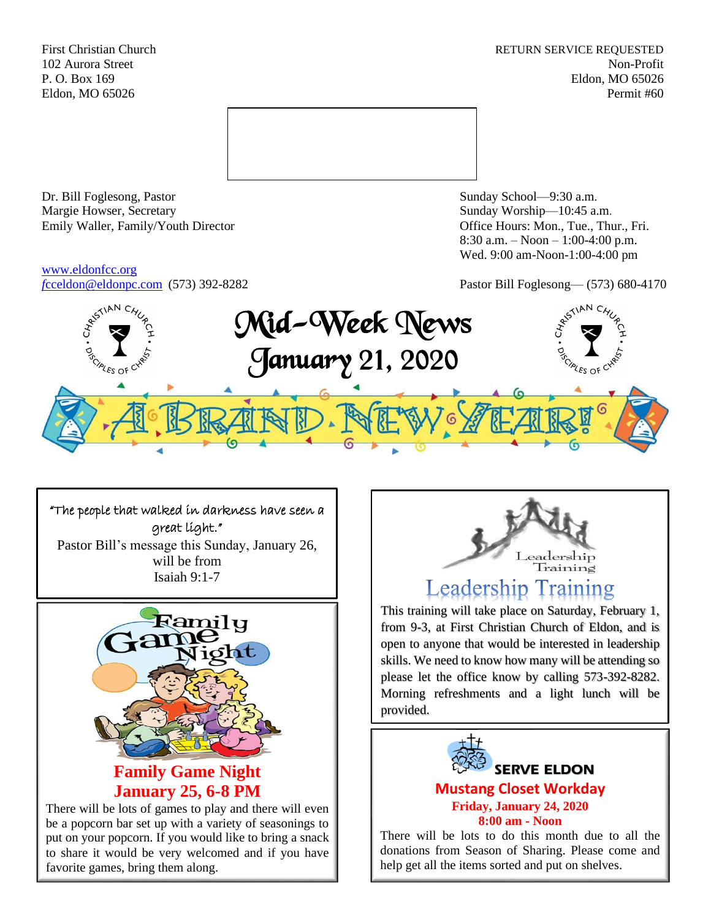First Christian Church **RETURN SERVICE REQUESTED** 102 Aurora Street Non-Profit P. O. Box 169 Eldon, MO 65026 Eldon, MO 65026 Permit #60



Dr. Bill Foglesong, Pastor Sunday School—9:30 a.m. Margie Howser, Secretary Sunday Worship—10:45 a.m. Emily Waller, Family/Youth Director **Containers** Office Hours: Mon., Tue., Thur., Fri.

# [www.eldonfcc.org](http://www.eldonfcc.org/)

8:30 a.m. – Noon – 1:00-4:00 p.m. Wed. 9:00 am-Noon-1:00-4:00 pm

*f*[cceldon@eldonpc.com](mailto:fcceldon@eldonpc.com) (573) 392-8282 Pastor Bill Foglesong— (573) 680-4170



# "The people that walked in darkness have seen a great light."

Pastor Bill's message this Sunday, January 26, will be from Isaiah 9:1-7



be a popcorn bar set up with a variety of seasonings to put on your popcorn. If you would like to bring a snack to share it would be very welcomed and if you have favorite games, bring them along.



# **Leadership Training**

This training will take place on Saturday, February 1, from 9-3, at First Christian Church of Eldon, and is open to anyone that would be interested in leadership skills. We need to know how many will be attending so please let the office know by calling 573-392-8282. Morning refreshments and a light lunch will be provided.



There will be lots to do this month due to all the donations from Season of Sharing. Please come and help get all the items sorted and put on shelves.